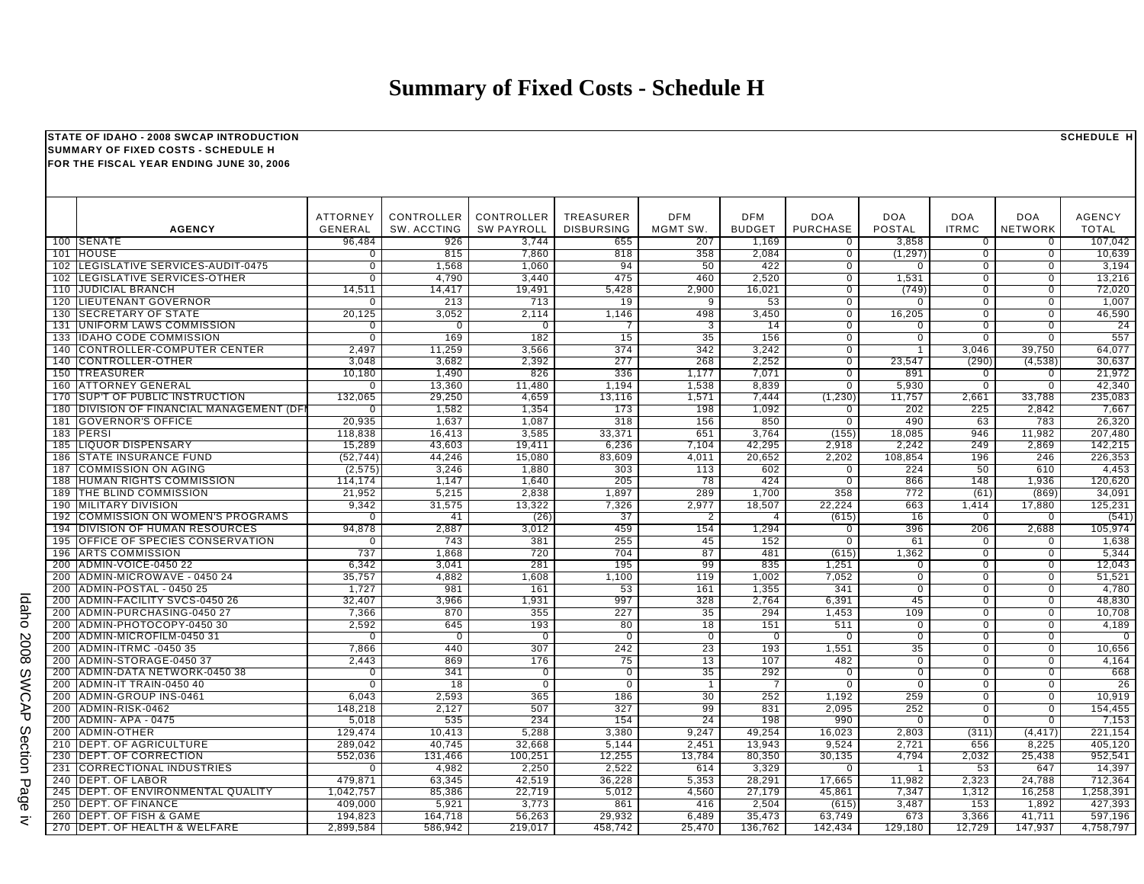## **Summary of Fixed Costs - Schedule H**

| STATE OF IDAHO - 2008 SWCAP INTRODUCTION<br><b>SUMMARY OF FIXED COSTS - SCHEDULE H</b> |                                                         |                                   |                           |                                 |                                       |                        |                             |                               |                                  | <b>SCHEDULE H</b>                |                                  |                               |
|----------------------------------------------------------------------------------------|---------------------------------------------------------|-----------------------------------|---------------------------|---------------------------------|---------------------------------------|------------------------|-----------------------------|-------------------------------|----------------------------------|----------------------------------|----------------------------------|-------------------------------|
| FOR THE FISCAL YEAR ENDING JUNE 30, 2006                                               |                                                         |                                   |                           |                                 |                                       |                        |                             |                               |                                  |                                  |                                  |                               |
|                                                                                        | <b>AGENCY</b>                                           | <b>ATTORNEY</b><br><b>GENERAL</b> | CONTROLLER<br>SW. ACCTING | CONTROLLER<br><b>SW PAYROLL</b> | <b>TREASURER</b><br><b>DISBURSING</b> | <b>DFM</b><br>MGMT SW. | <b>DFM</b><br><b>BUDGET</b> | <b>DOA</b><br><b>PURCHASE</b> | <b>DOA</b><br><b>POSTAL</b>      | <b>DOA</b><br><b>ITRMC</b>       | <b>DOA</b><br>NETWORK            | <b>AGENCY</b><br><b>TOTAL</b> |
|                                                                                        | 100 SENATE                                              | 96,484                            | 926                       | 3,744                           | 655                                   | 207                    | 1,169                       | $\Omega$                      | 3,858                            | $\Omega$                         | $\Omega$                         | 107,042                       |
| 101                                                                                    | <b>HOUSE</b>                                            | $\Omega$                          | 815                       | 7,860                           | 818                                   | 358                    | 2,084                       | $\overline{0}$                | (1, 297)                         | $\overline{0}$                   | $\overline{0}$                   | 10,639                        |
| 102                                                                                    | LEGISLATIVE SERVICES-AUDIT-0475                         | $\overline{0}$                    | 1,568                     | 1,060                           | 94                                    | 50                     | 422                         | $\overline{0}$                | $\Omega$                         | $\overline{0}$                   | $\overline{0}$                   | 3,194                         |
| 102                                                                                    | LEGISLATIVE SERVICES-OTHER                              | 0                                 | 4,790                     | 3,440                           | 475                                   | 460                    | 2,520                       | $\mathbf{0}$                  | 1,531                            | $\overline{0}$                   | $\overline{0}$                   | 13,216                        |
| 110                                                                                    | <b>JUDICIAL BRANCH</b>                                  | 14,511                            | 14,417                    | 19,491                          | 5,428                                 | 2,900                  | 16,021                      | $\mathbf 0$<br>$\overline{0}$ | (749)                            | $\mathbf 0$                      | $\mathbf 0$<br>$\overline{0}$    | 72,020                        |
| 120<br>130                                                                             | <b>LIEUTENANT GOVERNOR</b><br><b>SECRETARY OF STATE</b> | $\Omega$<br>20,125                | 213<br>3,052              | 713<br>2,114                    | 19<br>1,146                           | 9<br>498               | 53<br>3,450                 | $\overline{0}$                | $\Omega$<br>16,205               | $\overline{0}$<br>$\mathbf 0$    | $\overline{0}$                   | 1,007<br>46,590               |
| 131                                                                                    | UNIFORM LAWS COMMISSION                                 | 0                                 | $\mathbf 0$               | $\Omega$                        | $\overline{7}$                        | 3                      | 14                          | $\mathbf{0}$                  | $\mathbf 0$                      | $\overline{0}$                   | $\overline{0}$                   | 24                            |
| 133                                                                                    | <b>IDAHO CODE COMMISSION</b>                            | $\overline{0}$                    | 169                       | 182                             | 15                                    | 35                     | 156                         | $\overline{0}$                | $\overline{0}$                   | $\overline{0}$                   | $\overline{0}$                   | 557                           |
| 140                                                                                    | <b>CONTROLLER-COMPUTER CENTER</b>                       | 2,497                             | 11,259                    | 3,566                           | 374                                   | 342                    | 3,242                       | $\overline{0}$                | -1                               | 3,046                            | 39,750                           | 64,077                        |
|                                                                                        | 140 CONTROLLER-OTHER                                    | 3,048                             | 3,682                     | 2,392                           | 277                                   | 268                    | 2,252                       | $\overline{0}$                | 23,547                           | (290)                            | (4, 538)                         | 30,637                        |
|                                                                                        | 150 TREASURER                                           | 10,180                            | 1,490                     | 826                             | 336                                   | 1,177                  | 7,071                       | $\overline{0}$                | 891                              | $\overline{0}$                   | $\overline{0}$                   | 21,972                        |
|                                                                                        | 160 ATTORNEY GENERAL                                    | $\Omega$                          | 13,360                    | 11,480                          | 1,194                                 | 1,538                  | 8,839                       | $\overline{0}$                | 5,930                            | $\overline{0}$                   | $\overline{0}$                   | 42,340                        |
| 170                                                                                    | SUP'T OF PUBLIC INSTRUCTION                             | 132,065                           | 29,250                    | 4,659                           | 13,116                                | 1,571                  | 7,444                       | (1, 230)                      | 11,757                           | 2,661                            | 33,788                           | 235,083                       |
|                                                                                        | 180 DIVISION OF FINANCIAL MANAGEMENT (DF                |                                   | 1,582                     | 1,354                           | 173                                   | 198                    | 1,092                       | 0                             | 202                              | 225                              | 2,842                            | 7,667                         |
| 181                                                                                    | <b>GOVERNOR'S OFFICE</b>                                | 20,935                            | 1,637                     | 1,087                           | 318                                   | 156                    | 850                         | $\overline{0}$                | 490                              | 63                               | 783                              | 26,320                        |
|                                                                                        | 183 PERSI                                               | 118,838                           | 16.413                    | 3,585                           | 33,371                                | 651                    | 3,764                       | (155)                         | 18,085                           | 946                              | 11,982                           | 207,480                       |
| 185                                                                                    | LIQUOR DISPENSARY                                       | 15,289                            | 43.603                    | 19,411                          | 6,236                                 | 7,104                  | 42,295                      | 2.918                         | 2,242                            | 249                              | 2,869                            | 142,215                       |
| 186                                                                                    | <b>STATE INSURANCE FUND</b>                             | (52, 744)                         | 44,246                    | 15,080                          | 83,609                                | 4,011                  | 20,652                      | 2,202                         | 108,854                          | 196                              | 246                              | 226,353                       |
| 187                                                                                    | <b>COMMISSION ON AGING</b>                              | (2, 575)                          | 3,246                     | 1,880                           | 303                                   | 113                    | 602                         | $\mathbf 0$                   | 224                              | 50                               | 610                              | 4,453                         |
| 188<br>189                                                                             | HUMAN RIGHTS COMMISSION                                 | 114,174<br>21,952                 | 1,147<br>5,215            | 1,640<br>2,838                  | 205<br>1,897                          | 78<br>289              | 424<br>1,700                | $\overline{0}$<br>358         | 866<br>772                       | 148<br>(61)                      | 1,936<br>(869)                   | 120,620<br>34,091             |
| 190                                                                                    | THE BLIND COMMISSION<br><b>MILITARY DIVISION</b>        | 9,342                             | 31,575                    | 13,322                          | 7,326                                 | 2,977                  | 18,507                      | 22,224                        | 663                              | 1,414                            | 17,880                           | 125,231                       |
| 192                                                                                    | <b>COMMISSION ON WOMEN'S PROGRAMS</b>                   | $\Omega$                          | 41                        | (26)                            | 37                                    | $\overline{2}$         | 4                           | (615)                         | 16                               | $\overline{0}$                   | $\overline{0}$                   | (541)                         |
| 194                                                                                    | DIVISION OF HUMAN RESOURCES                             | 94,878                            | 2,887                     | 3,012                           | 459                                   | 154                    | 1,294                       | 0                             | 396                              | 206                              | 2,688                            | 105,974                       |
| 195                                                                                    | <b>OFFICE OF SPECIES CONSERVATION</b>                   | $\Omega$                          | 743                       | 381                             | 255                                   | 45                     | 152                         | $\mathbf 0$                   | 61                               | $\mathbf 0$                      | $\Omega$                         | 1,638                         |
|                                                                                        | 196 ARTS COMMISSION                                     | 737                               | 1,868                     | 720                             | 704                                   | 87                     | 481                         | (615)                         | 1,362                            | $\mathbf 0$                      | $\mathbf 0$                      | 5,344                         |
| 200                                                                                    | <b>ADMIN-VOICE-0450 22</b>                              | 6,342                             | 3,041                     | 281                             | 195                                   | 99                     | 835                         | 1,251                         | $\mathbf 0$                      | $\mathbf 0$                      | $\mathbf 0$                      | 12,043                        |
| 200                                                                                    | ADMIN-MICROWAVE - 0450 24                               | 35,757                            | 4,882                     | 1,608                           | 1,100                                 | 119                    | 1,002                       | 7,052                         | $\overline{0}$                   | $\overline{0}$                   | $\overline{0}$                   | 51,521                        |
| 200                                                                                    | ADMIN-POSTAL - 0450 25                                  | 1,727                             | 981                       | 161                             | 53                                    | 161                    | 1,355                       | 341                           | $\overline{0}$                   | $\overline{0}$                   | $\overline{0}$                   | 4,780                         |
| 200                                                                                    | <b>ADMIN-FACILITY SVCS-0450 26</b>                      | 32,407                            | 3,966                     | 1,931                           | 997                                   | 328                    | 2,764                       | 6,391                         | 45                               | $\overline{0}$                   | $\overline{0}$                   | 48,830                        |
| 200                                                                                    | ADMIN-PURCHASING-0450 27                                | 7,366                             | 870                       | 355                             | 227                                   | 35                     | 294                         | 1,453                         | 109                              | $\overline{0}$                   | $\overline{0}$                   | 10,708                        |
| 200                                                                                    | ADMIN-PHOTOCOPY-0450 30                                 | 2,592                             | 645                       | 193                             | 80                                    | 18                     | 151                         | 511                           | $\overline{0}$                   | $\overline{0}$                   | $\overline{0}$                   | 4,189                         |
| 200                                                                                    | ADMIN-MICROFILM-0450 31                                 | $\overline{0}$                    | $\overline{0}$            | $\overline{0}$                  | $\overline{0}$                        | $\overline{0}$         | $\overline{0}$              | $\overline{0}$                | $\overline{0}$                   | $\overline{0}$                   | $\overline{0}$                   | $\overline{0}$                |
| 200<br>200                                                                             | <b>ADMIN-ITRMC -0450 35</b><br>ADMIN-STORAGE-0450 37    | 7,866                             | 440<br>869                | 307<br>176                      | 242                                   | $\overline{23}$<br>13  | 193<br>107                  | 1,551                         | 35                               | $\overline{0}$<br>$\overline{0}$ | $\overline{0}$<br>$\overline{0}$ | 10,656<br>4.164               |
| 200                                                                                    | ADMIN-DATA NETWORK-0450 38                              | 2,443<br>$\Omega$                 | 341                       | $\mathbf 0$                     | 75<br>$\mathbf 0$                     | 35                     | 292                         | 482<br>$\mathbf 0$            | $\overline{0}$<br>$\overline{0}$ | $\overline{0}$                   | $\overline{0}$                   | 668                           |
| 200                                                                                    | ADMIN-IT TRAIN-0450 40                                  | $\Omega$                          | 18                        | $\Omega$                        | $\mathbf 0$                           | $\overline{1}$         | $\overline{7}$              | $\mathbf 0$                   | $\mathbf 0$                      | $\mathbf 0$                      | $\overline{0}$                   | 26                            |
| 200                                                                                    | ADMIN-GROUP INS-0461                                    | 6.043                             | 2,593                     | 365                             | 186                                   | 30                     | 252                         | 1.192                         | 259                              | $\overline{0}$                   | $\overline{0}$                   | 10,919                        |
| 200                                                                                    | ADMIN-RISK-0462                                         | 148.218                           | 2,127                     | 507                             | 327                                   | 99                     | 831                         | 2,095                         | 252                              | $\mathbf 0$                      | $\overline{0}$                   | 154,455                       |
| 200                                                                                    | <b>ADMIN-APA - 0475</b>                                 | 5,018                             | 535                       | 234                             | 154                                   | $\overline{24}$        | 198                         | 990                           | $\Omega$                         | $\overline{0}$                   | $\overline{0}$                   | 7,153                         |
| 200                                                                                    | <b>ADMIN-OTHER</b>                                      | 129.474                           | 10.413                    | 5.288                           | 3,380                                 | 9,247                  | 49.254                      | 16.023                        | 2.803                            | (311)                            | (4, 417)                         | 221.154                       |
|                                                                                        | 210 DEPT. OF AGRICULTURE                                | 289,042                           | 40.745                    | 32,668                          | 5,144                                 | 2,451                  | 13,943                      | 9,524                         | 2.721                            | 656                              | 8,225                            | 405,120                       |
|                                                                                        | 230 <b>IDEPT. OF CORRECTION</b>                         | 552,036                           | 131,466                   | 100,251                         | 12,255                                | 13,784                 | 80,350                      | 30,135                        | 4,794                            | 2,032                            | 25,438                           | 952,541                       |
| 231                                                                                    | <b>CORRECTIONAL INDUSTRIES</b>                          | U                                 | 4,982                     | 2,250                           | 2,522                                 | 614                    | 3,329                       | 0                             |                                  | 53                               | 647                              | 14,397                        |
| 240                                                                                    | DEPT. OF LABOR                                          | 479,871                           | 63,345                    | 42,519                          | 36,228                                | 5,353                  | 28,291                      | 17,665                        | 11,982                           | 2,323                            | 24,788                           | 712,364                       |
| 245                                                                                    | DEPT. OF ENVIRONMENTAL QUALITY                          | 1,042,757                         | 85,386                    | 22,719                          | 5,012                                 | 4,560                  | 27,179                      | 45,861                        | 7,347                            | 1,312                            | 16,258                           | 1,258,391                     |
| 250                                                                                    | <b>DEPT. OF FINANCE</b>                                 | 409,000                           | 5,921                     | 3,773                           | 861                                   | 416                    | 2,504                       | (615)                         | 3,487                            | 153                              | 1,892                            | 427,393                       |
| 260                                                                                    | <b>DEPT. OF FISH &amp; GAME</b>                         | 194,823                           | 164,718                   | 56,263                          | 29,932                                | 6,489                  | 35,473                      | 63,749                        | 673                              | 3,366                            | 41,711                           | 597,196                       |
|                                                                                        | 270 DEPT. OF HEALTH & WELFARE                           | 2,899,584                         | 586,942                   | 219,017                         | 458,742                               | 25,470                 | 136,762                     | 142,434                       | 129, 180                         | 12,729                           | 147,937                          | 4,758,797                     |